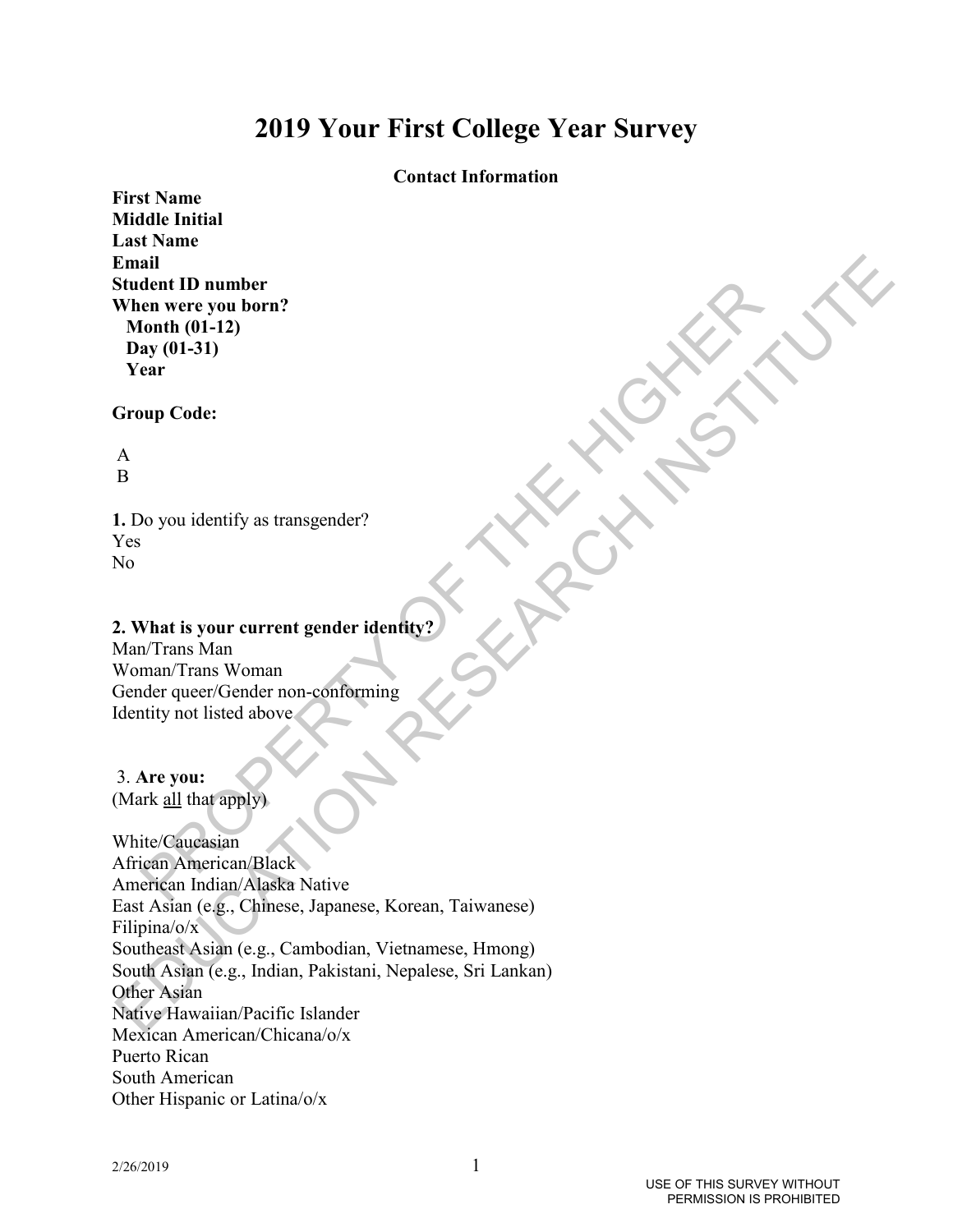# **2019 Your First College Year Survey**

# **Contact Information**

**First Name Middle Initial Last Name Email Student ID number When were you born? Month (01-12) Day (01-31) Year**

### **Group Code:**

 A B

**1.** Do you identify as transgender? Yes No

# **2. What is your current gender identity?**

Man/Trans Man Woman/Trans Woman Gender queer/Gender non-conforming Identity not listed above

# 3. **Are you:**

(Mark all that apply)

dent ID number<br>
on were you born?<br>
or the (01-12)<br>
ay (01-31)<br>
arr<br>
wup Code:<br>
<br>
Do you identify as transgender?<br>
<br>
Do you identify as transgender?<br>
<br>
Nhat is your current gender identity<br>  $\pi$ <sup>1</sup>Trans Man<br>
man Trans Woman Email<br>
Evaluated ID number<br>
When were you born?<br>
Month (01-13)<br>
Day (01-31)<br>
Day (01-31)<br>
Day (01-31)<br>
New Trunch Code:<br>  $\hat{A}$ <br>
B<br>
I. Do you identify as transgender?<br>
Now Mark Truns Wan<br>
Nomen/Truns Wan<br>
Corder quocs(Gr White/Caucasian African American/Black American Indian/Alaska Native East Asian (e.g., Chinese, Japanese, Korean, Taiwanese) Filipina/o/x Southeast Asian (e.g., Cambodian, Vietnamese, Hmong) South Asian (e.g., Indian, Pakistani, Nepalese, Sri Lankan) Other Asian Native Hawaiian/Pacific Islander Mexican American/Chicana/o/x Puerto Rican South American Other Hispanic or Latina/o/x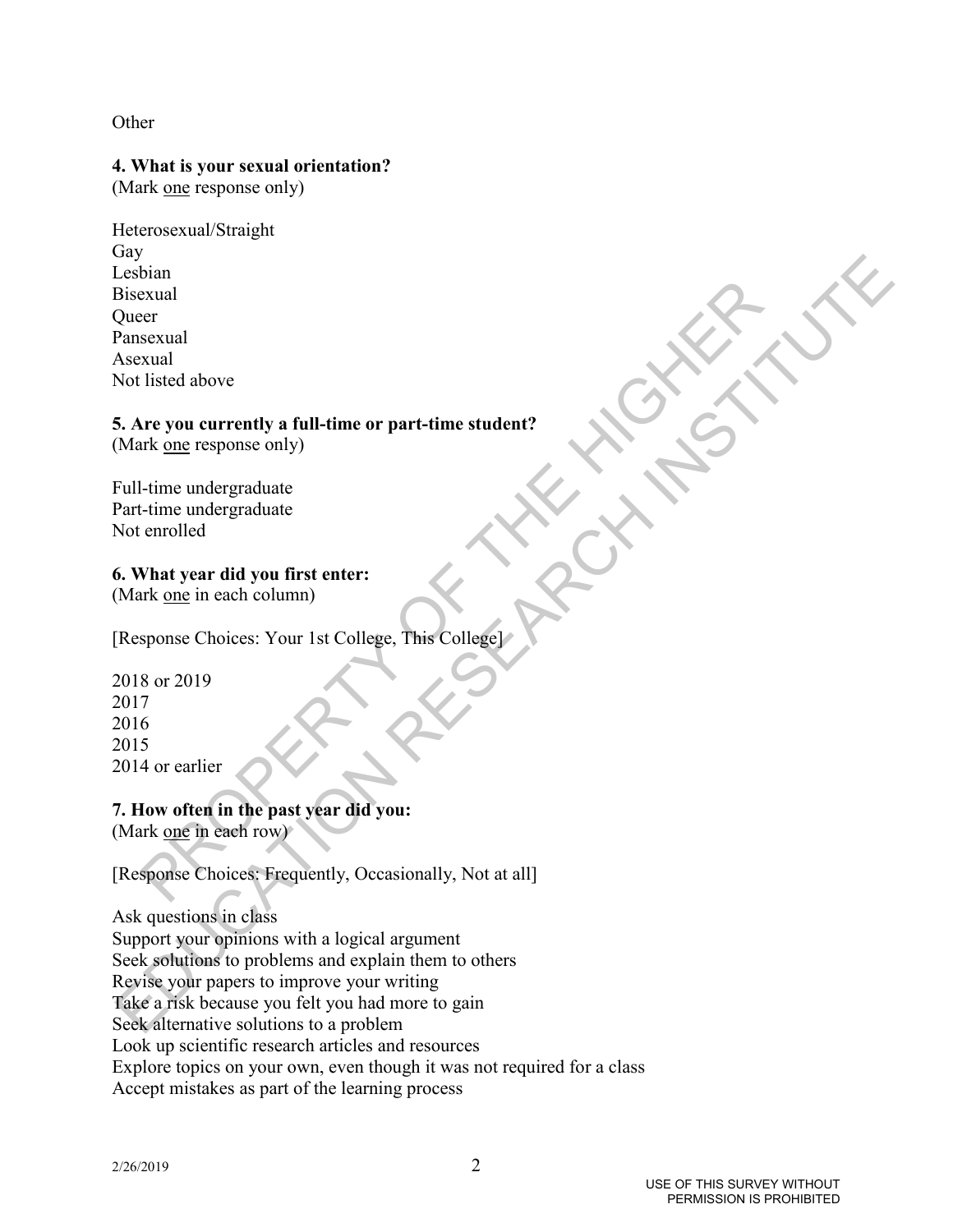# **Other**

# **4. What is your sexual orientation?**

(Mark <u>one</u> response only)

bextual<br>
property of a contently a full-time or part-time student?<br>
It is the one response only)<br>
where we you currently a full-time or part-time student?<br>
Letime undergraduate<br>
cime in edergraduate<br>
what year did you firs Heterosexual/Straight Gay Lesbian Bisexual **Oueer** Pansexual Asexual Not listed above

# **5. Are you currently a full-time or part-time student?**

(Mark one response only)

Full-time undergraduate Part-time undergraduate Not enrolled

# **6. What year did you first enter:**

(Mark one in each column)

[Response Choices: Your 1st College, This College]

2018 or 2019 2017 2016 2015 2014 or earlier

# **7. How often in the past year did you:**

(Mark one in each row)

[Response Choices: Frequently, Occasionally, Not at all]

# Ask questions in class

Contained the content of the content of the content of the content of the content of the scheme of the scheme of the scheme of the content of the scheme of the content of the content of the content of the content of the co Support your opinions with a logical argument Seek solutions to problems and explain them to others Revise your papers to improve your writing Take a risk because you felt you had more to gain Seek alternative solutions to a problem Look up scientific research articles and resources Explore topics on your own, even though it was not required for a class Accept mistakes as part of the learning process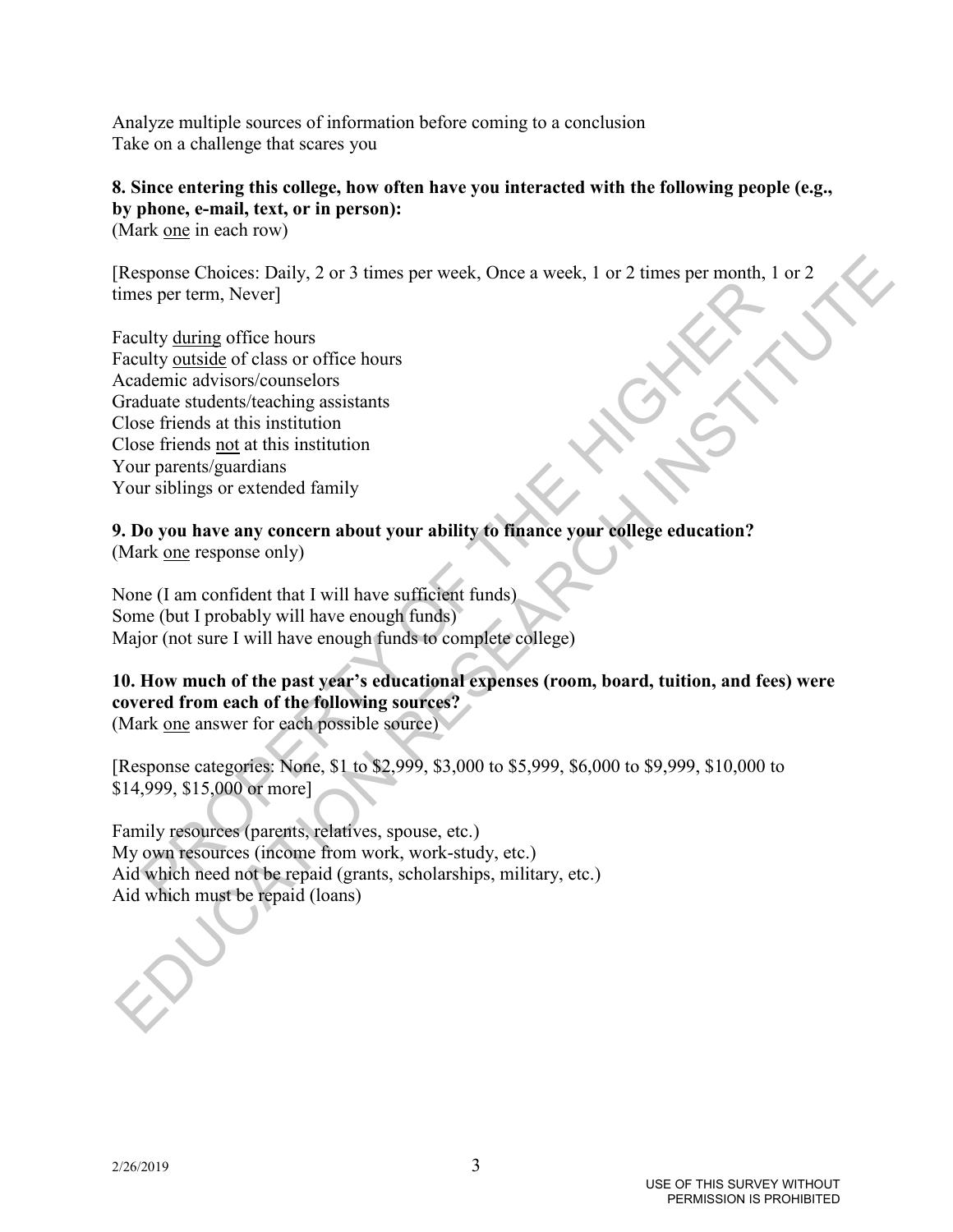Analyze multiple sources of information before coming to a conclusion Take on a challenge that scares you

# **8. Since entering this college, how often have you interacted with the following people (e.g., by phone, e-mail, text, or in person):**

(Mark one in each row)

[Response Choices: Daily, 2 or 3 times per week, Once a week, 1 or 2 times per month, 1 or 2 times per term, Never]

plane cancels. Every the state of the matter of the state of the state of the state of the state of class or office hours<br>and the dating different and institution<br>deter and this institution<br>of the state state of a differen Response Choices: Daily, 2 or 3 times per week, Onec a week, 1 or 2 times per month, 1 or 2<br>
dimes per mem, Neverl<br>
Fraculty <u>omissic</u> of class or office hours<br>
Acadiemic authors/counselors<br>
Choultant subtractioning assis Faculty during office hours Faculty outside of class or office hours Academic advisors/counselors Graduate students/teaching assistants Close friends at this institution Close friends not at this institution Your parents/guardians Your siblings or extended family

**9. Do you have any concern about your ability to finance your college education?**  (Mark one response only)

None (I am confident that I will have sufficient funds) Some (but I probably will have enough funds) Major (not sure I will have enough funds to complete college)

# **10. How much of the past year's educational expenses (room, board, tuition, and fees) were covered from each of the following sources?**

(Mark one answer for each possible source)

[Response categories: None, \$1 to \$2,999, \$3,000 to \$5,999, \$6,000 to \$9,999, \$10,000 to \$14,999, \$15,000 or more]

Family resources (parents, relatives, spouse, etc.) My own resources (income from work, work-study, etc.) Aid which need not be repaid (grants, scholarships, military, etc.) Aid which must be repaid (loans)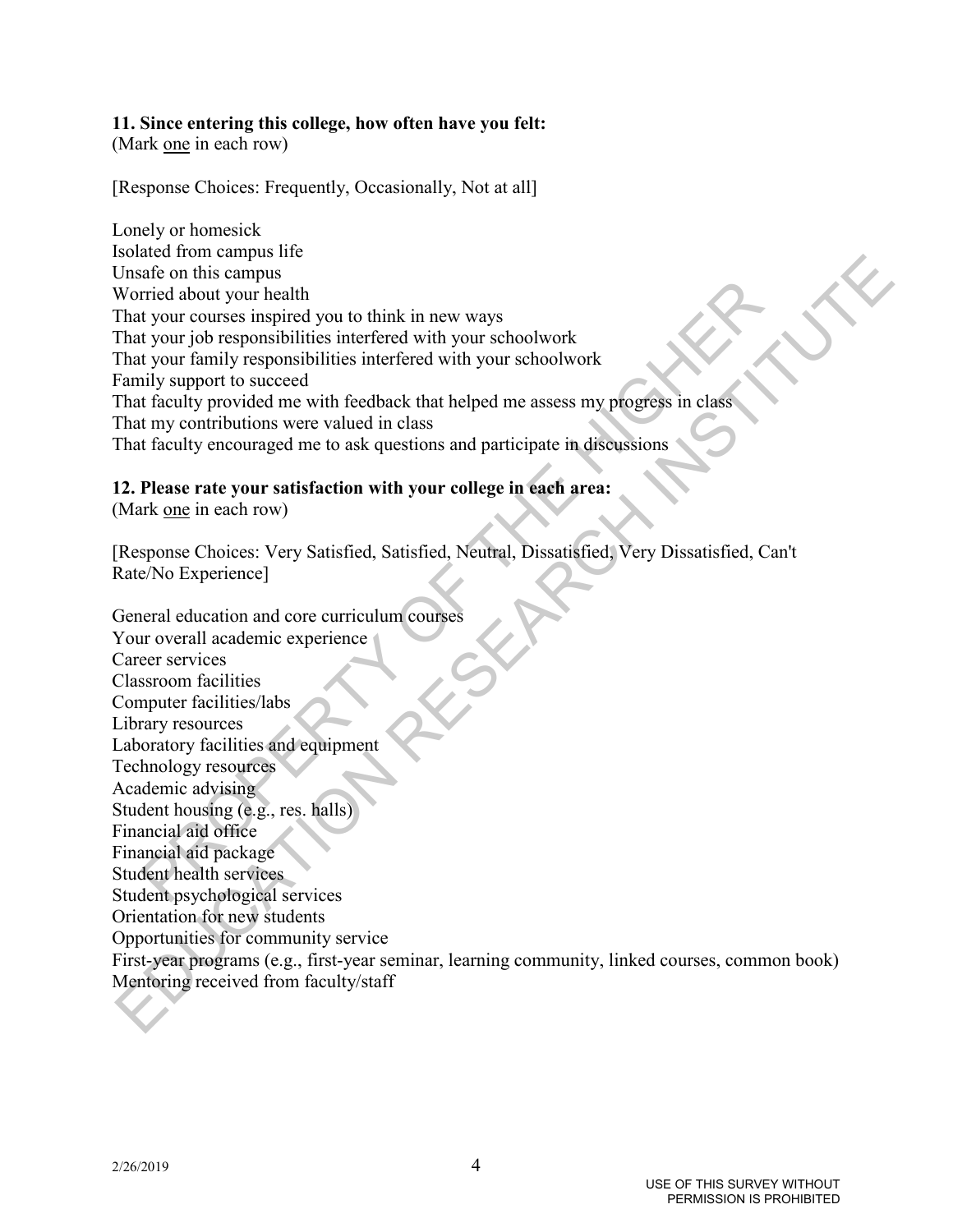# **11. Since entering this college, how often have you felt:**

(Mark one in each row)

[Response Choices: Frequently, Occasionally, Not at all]

Lonely or homesick Isolated from campus life Unsafe on this campus Worried about your health That your courses inspired you to think in new ways That your job responsibilities interfered with your schoolwork That your family responsibilities interfered with your schoolwork Family support to succeed That faculty provided me with feedback that helped me assess my progress in class That my contributions were valued in class That faculty encouraged me to ask questions and participate in discussions

# **12. Please rate your satisfaction with your college in each area:**

(Mark one in each row)

[Response Choices: Very Satisfied, Satisfied, Neutral, Dissatisfied, Very Dissatisfied, Can't Rate/No Experience]

and the material and the control of the state of the state of the state of typic courses inspired you to think in new ways<br>
ty our job responsibilities interfered with your schoolwork<br>
ty our family responsibilities interf and and counter the main of the main of the main of the main of the main of the main of the main of the main of the main of the properties with the main of the main of the main of the main of the main of the main of the ma General education and core curriculum courses Your overall academic experience Career services Classroom facilities Computer facilities/labs Library resources Laboratory facilities and equipment Technology resources Academic advising Student housing (e.g., res. halls) Financial aid office Financial aid package Student health services Student psychological services Orientation for new students Opportunities for community service First-year programs (e.g., first-year seminar, learning community, linked courses, common book) Mentoring received from faculty/staff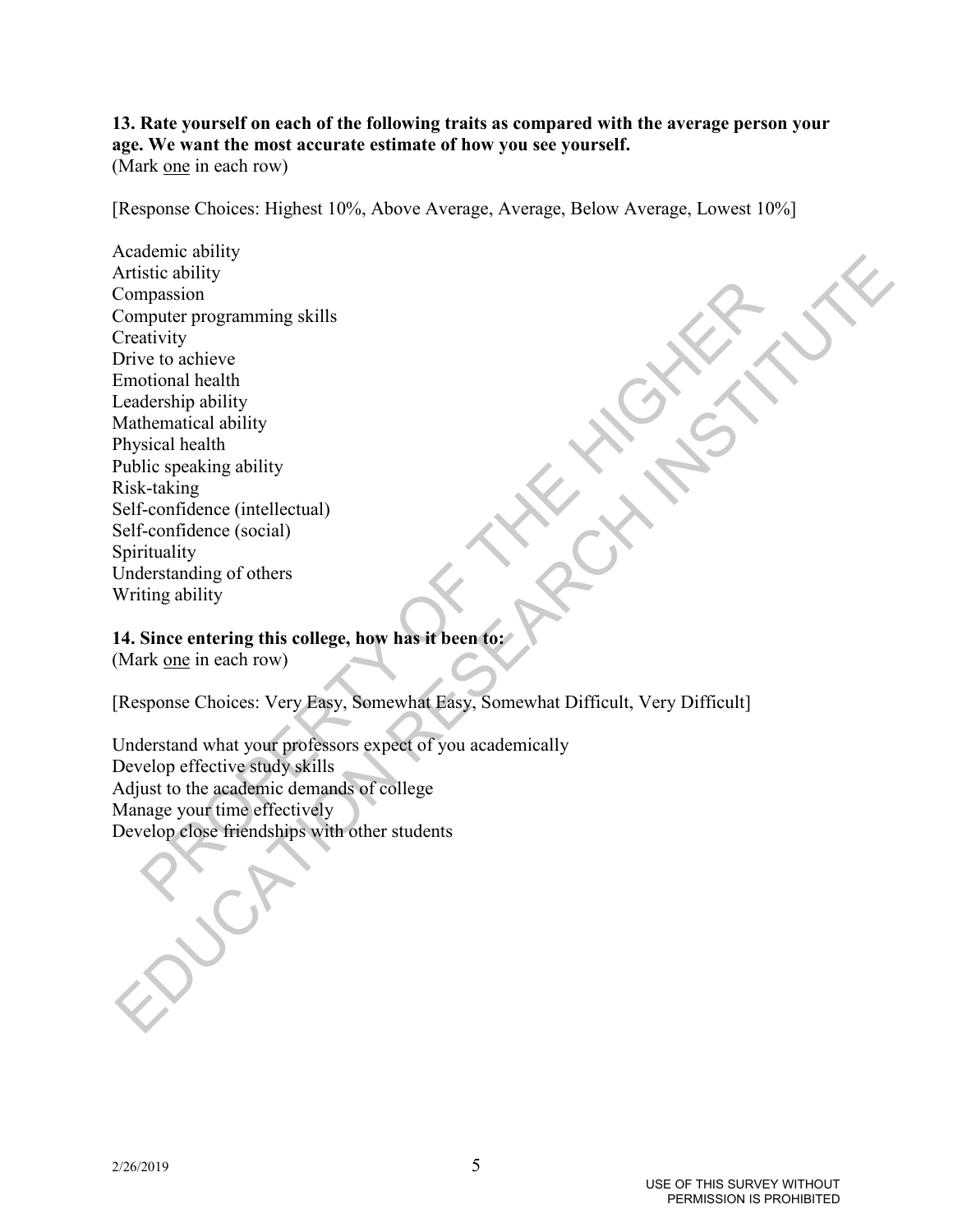# **13. Rate yourself on each of the following traits as compared with the average person your age. We want the most accurate estimate of how you see yourself.**

(Mark one in each row)

[Response Choices: Highest 10%, Above Average, Average, Below Average, Lowest 10%]

Example the property of control<br>the property control and the destring skills when<br>the destring a bility of the station destring a bility<br>desiring a bility<br>sical health<br>sical health<br>sical health<br>in desiring a bility<br>sical h is continued and the state of the state of the state of the state of the state of the contact of the condition<br>Computer programming skills<br>Direct to denive the condition blends that the condition of the condition<br> $\text{Right-Canif}$ Academic ability Artistic ability Compassion Computer programming skills **Creativity** Drive to achieve Emotional health Leadership ability Mathematical ability Physical health Public speaking ability Risk-taking Self-confidence (intellectual) Self-confidence (social) Spirituality Understanding of others Writing ability

# **14. Since entering this college, how has it been to:**

(Mark one in each row)

[Response Choices: Very Easy, Somewhat Easy, Somewhat Difficult, Very Difficult]

Understand what your professors expect of you academically Develop effective study skills Adjust to the academic demands of college Manage your time effectively Develop close friendships with other students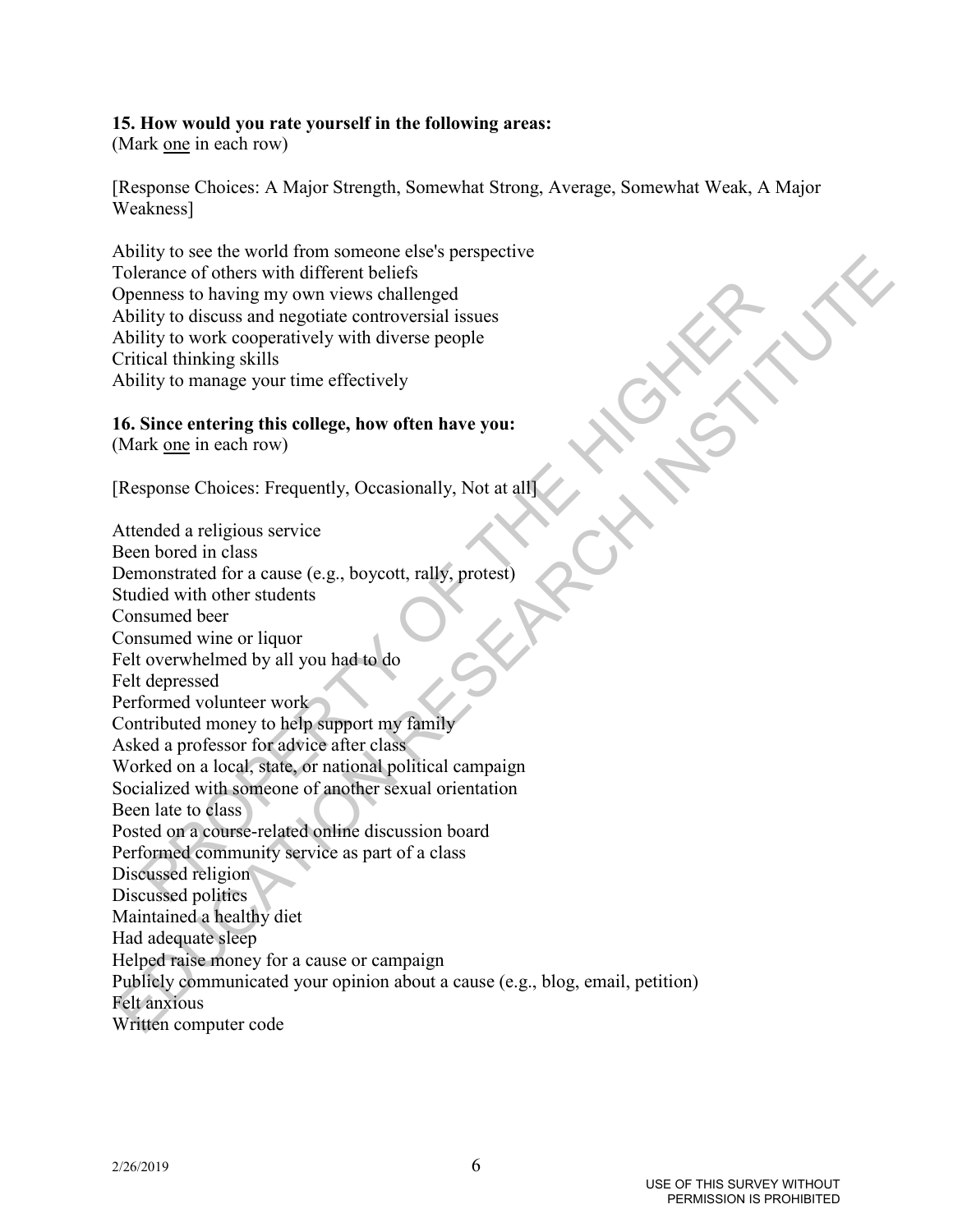# **15. How would you rate yourself in the following areas:**

(Mark one in each row)

[Response Choices: A Major Strength, Somewhat Strong, Average, Somewhat Weak, A Major Weakness]

Ability to see the world from someone else's perspective Tolerance of others with different beliefs Openness to having my own views challenged Ability to discuss and negotiate controversial issues Ability to work cooperatively with diverse people Critical thinking skills Ability to manage your time effectively

# **16. Since entering this college, how often have you:**

(Mark one in each row)

[Response Choices: Frequently, Occasionally, Not at all]

Exame to business to having my own views challenged<br>threes to having my own views challenged<br>lity to discuss and negotiate controversial issues<br>inty to work cooperatively with diverse people<br>ical thinking skills<br>this to ma Notice that works and works challenged<br>
Notice of others with different beliefs<br>
Obcurate of others with different beliefs<br>
Ability to discuss and negotiate controversial issues<br>
Ability to work concentrively with diverse Attended a religious service Been bored in class Demonstrated for a cause (e.g., boycott, rally, protest) Studied with other students Consumed beer Consumed wine or liquor Felt overwhelmed by all you had to do Felt depressed Performed volunteer work Contributed money to help support my family Asked a professor for advice after class Worked on a local, state, or national political campaign Socialized with someone of another sexual orientation Been late to class Posted on a course-related online discussion board Performed community service as part of a class Discussed religion Discussed politics Maintained a healthy diet Had adequate sleep Helped raise money for a cause or campaign Publicly communicated your opinion about a cause (e.g., blog, email, petition) Felt anxious Written computer code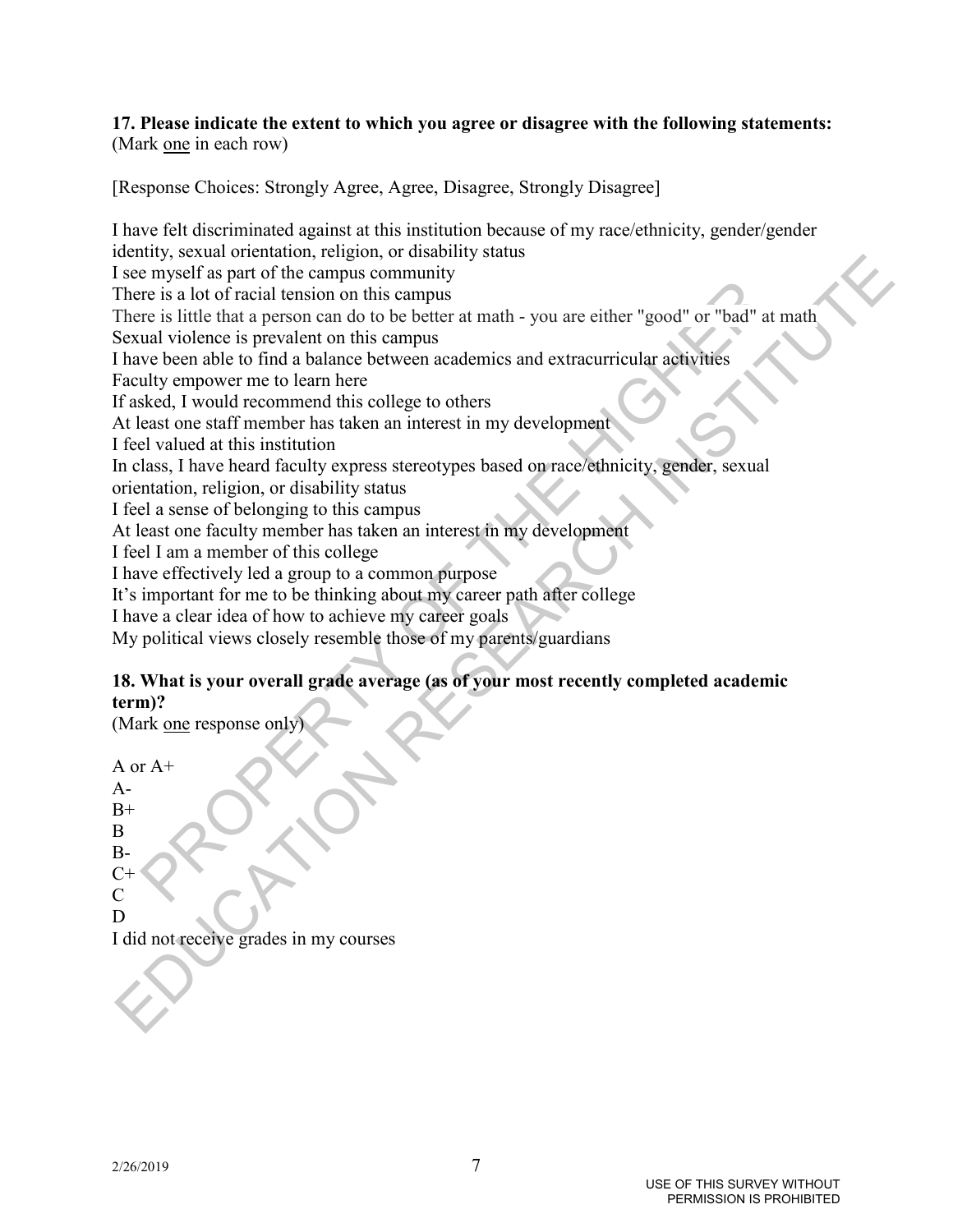# **17. Please indicate the extent to which you agree or disagree with the following statements:**  (Mark one in each row)

[Response Choices: Strongly Agree, Agree, Disagree, Strongly Disagree]

en the state of the state of the state of the state of the state of the state of the state of the state of the state of the state of the state of the state of the state of the state of the state of the state of the state o Example, the care of the computer of the campus community<br>accounts of the campus community<br>there is slot of metal custom on this campus community<br>there is little that a person can do to be better at math - you are either " I have felt discriminated against at this institution because of my race/ethnicity, gender/gender identity, sexual orientation, religion, or disability status I see myself as part of the campus community There is a lot of racial tension on this campus There is little that a person can do to be better at math - you are either "good" or "bad" at math Sexual violence is prevalent on this campus I have been able to find a balance between academics and extracurricular activities Faculty empower me to learn here If asked, I would recommend this college to others At least one staff member has taken an interest in my development I feel valued at this institution In class, I have heard faculty express stereotypes based on race/ethnicity, gender, sexual orientation, religion, or disability status I feel a sense of belonging to this campus At least one faculty member has taken an interest in my development I feel I am a member of this college I have effectively led a group to a common purpose It's important for me to be thinking about my career path after college I have a clear idea of how to achieve my career goals My political views closely resemble those of my parents/guardians

# **18. What is your overall grade average (as of your most recently completed academic term)?**

(Mark one response only)

A or  $A+$  $A-$ 

 $B+$ 

B

B-

 $C+$  $\mathcal{C}$ 

D

I did not receive grades in my courses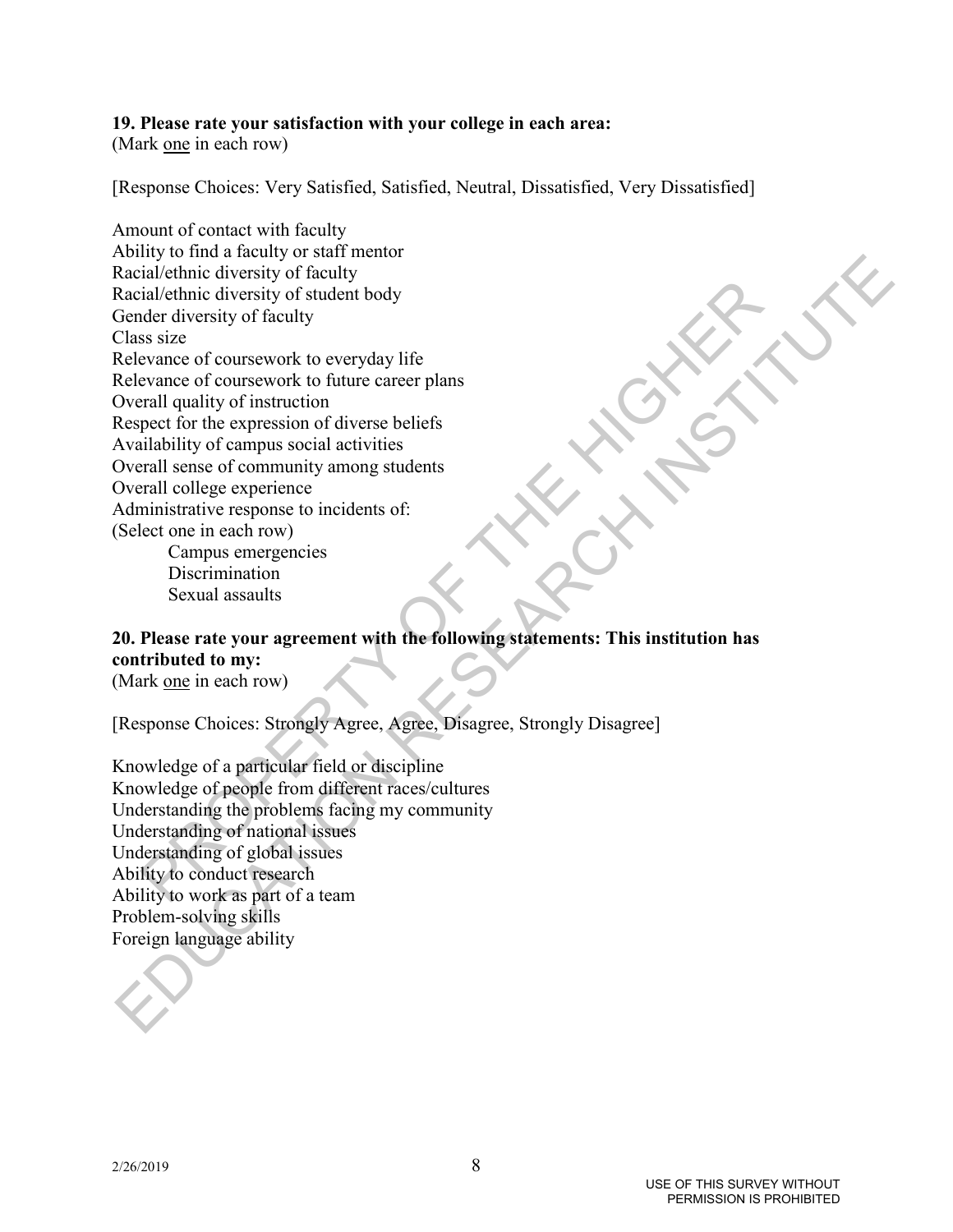# **19. Please rate your satisfaction with your college in each area:**

(Mark one in each row)

[Response Choices: Very Satisfied, Satisfied, Neutral, Dissatisfied, Very Dissatisfied]

in the streamed the control of the streamed in the streamed in the distribution of the distribution of solicies we are controlled duality of maturity of struction<br>sections and particular care plane and particular care plan Norm to mean move of the minimum<br>Statistic through the material of the statistic distribution diversity of fielding<br>Cordinate diversity of fielding<br>Cordinate of coursework to everyday life<br>Relevante of coursework to everyd Amount of contact with faculty Ability to find a faculty or staff mentor Racial/ethnic diversity of faculty Racial/ethnic diversity of student body Gender diversity of faculty Class size Relevance of coursework to everyday life Relevance of coursework to future career plans Overall quality of instruction Respect for the expression of diverse beliefs Availability of campus social activities Overall sense of community among students Overall college experience Administrative response to incidents of: (Select one in each row)

Campus emergencies **Discrimination** Sexual assaults

# **20. Please rate your agreement with the following statements: This institution has contributed to my:**

(Mark one in each row)

[Response Choices: Strongly Agree, Agree, Disagree, Strongly Disagree]

Knowledge of a particular field or discipline Knowledge of people from different races/cultures Understanding the problems facing my community Understanding of national issues Understanding of global issues Ability to conduct research Ability to work as part of a team Problem-solving skills Foreign language ability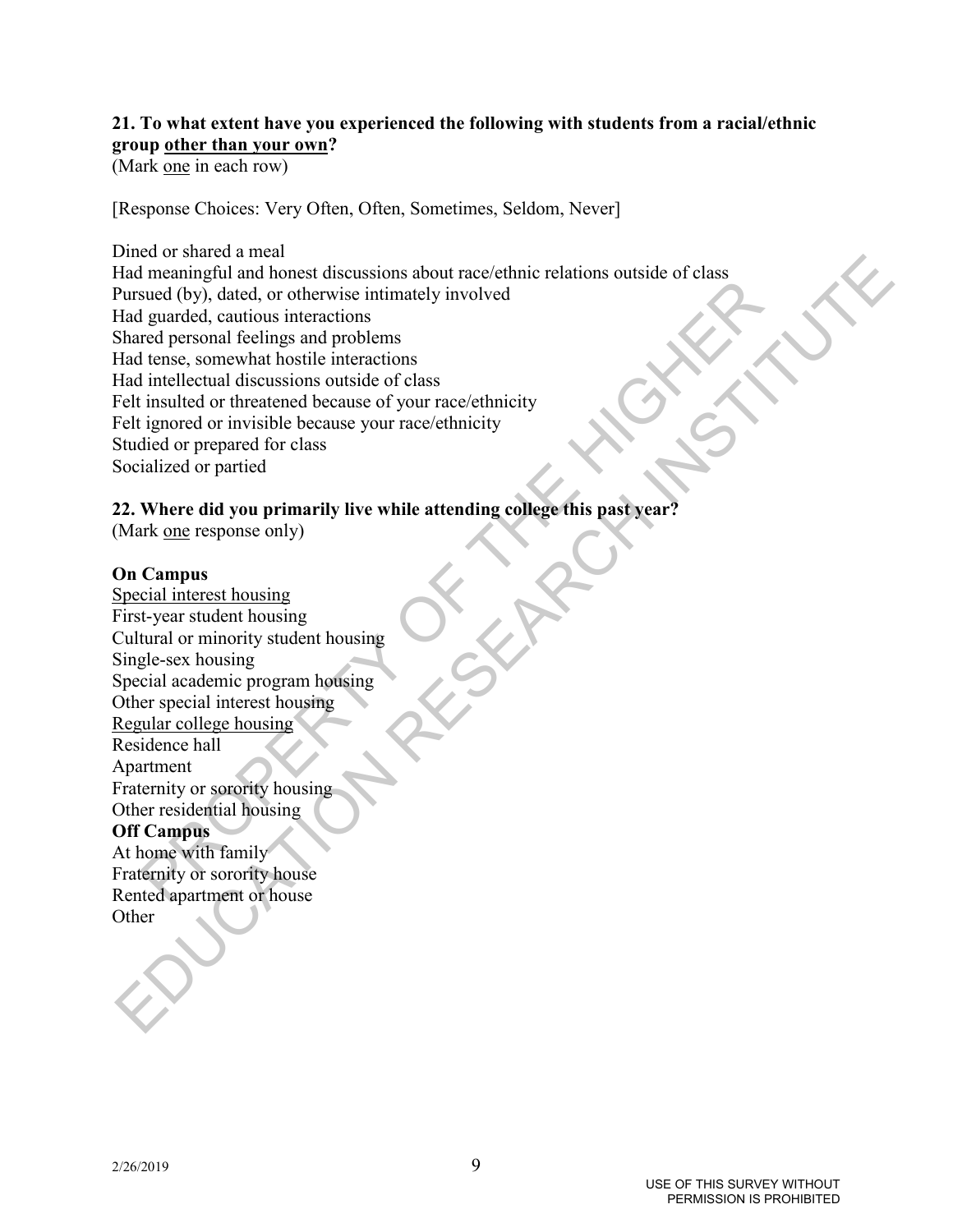# **21. To what extent have you experienced the following with students from a racial/ethnic group other than your own?**

(Mark one in each row)

[Response Choices: Very Often, Often, Sometimes, Seldom, Never]

income the control of the control of the control of the control of graded, control is interactions<br>and (by), dated, or otherwise intimately involved<br>tred personal feelings and problems<br>terms, somewhat hostile interactions<br> From the animal around the median control of the median control of the change of the change of the change of the change and problem and problem and control in the change and problem and control in the change of the median Dined or shared a meal Had meaningful and honest discussions about race/ethnic relations outside of class Pursued (by), dated, or otherwise intimately involved Had guarded, cautious interactions Shared personal feelings and problems Had tense, somewhat hostile interactions Had intellectual discussions outside of class Felt insulted or threatened because of your race/ethnicity Felt ignored or invisible because your race/ethnicity Studied or prepared for class Socialized or partied

# **22. Where did you primarily live while attending college this past year?**

(Mark one response only)

# **On Campus**

Special interest housing First-year student housing Cultural or minority student housing Single-sex housing Special academic program housing Other special interest housing Regular college housing Residence hall Apartment Fraternity or sorority housing Other residential housing

# **Off Campus**

At home with family Fraternity or sorority house Rented apartment or house **Other**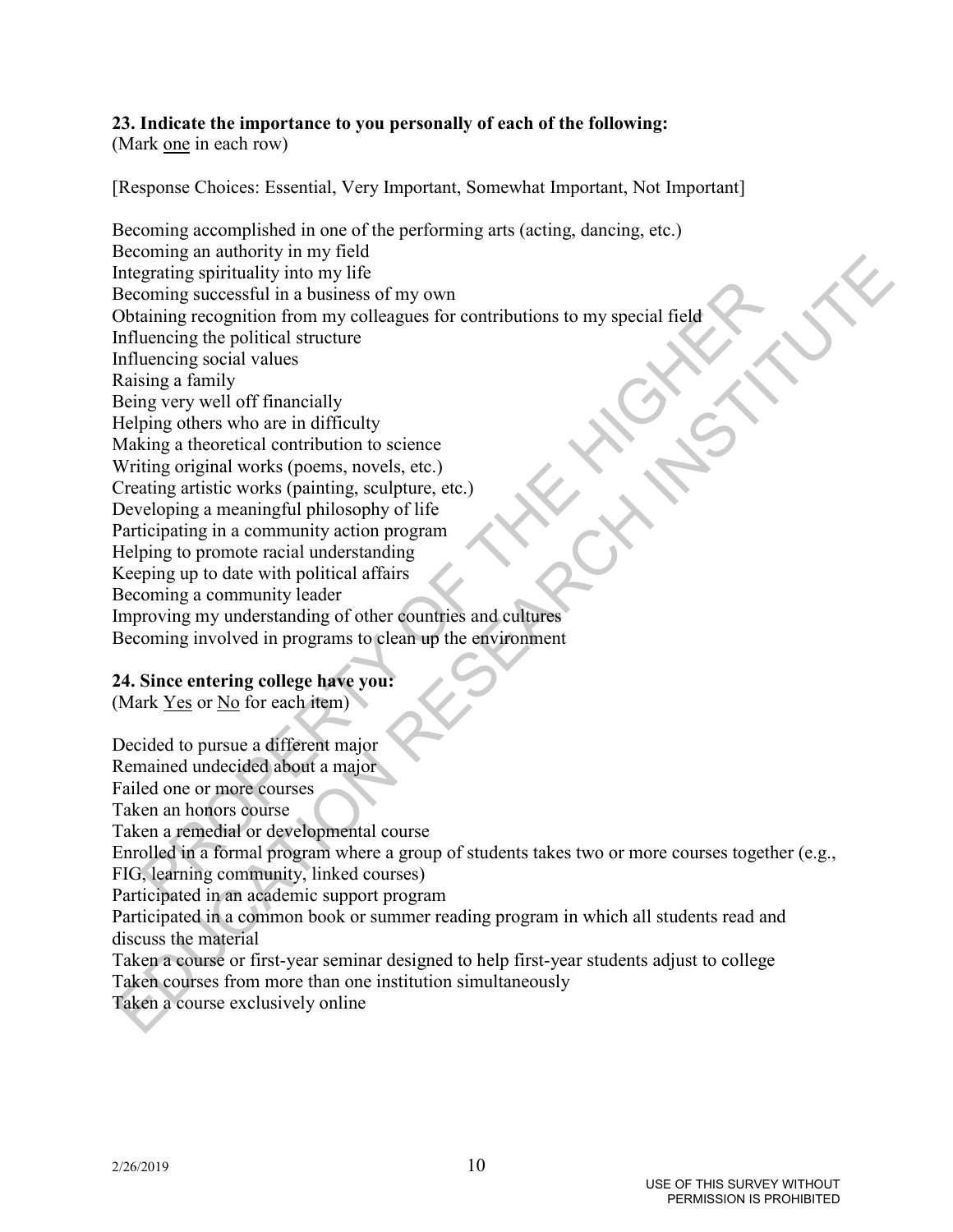# **23. Indicate the importance to you personally of each of the following:**

(Mark one in each row)

[Response Choices: Essential, Very Important, Somewhat Important, Not Important]

example propriation in my only the correct or the control in a business of my own<br>atempt geographical form my colleagues for contributions to my special field<br>uencing social values<br>is in a famility<br>may a family go there we Exteriming an saturology in may note that the contributions for the product social first decomparise social first devotion in a business of my own<br>
Dobtaining recognition in four my collegeues for contributions to my speci Becoming accomplished in one of the performing arts (acting, dancing, etc.) Becoming an authority in my field Integrating spirituality into my life Becoming successful in a business of my own Obtaining recognition from my colleagues for contributions to my special field Influencing the political structure Influencing social values Raising a family Being very well off financially Helping others who are in difficulty Making a theoretical contribution to science Writing original works (poems, novels, etc.) Creating artistic works (painting, sculpture, etc.) Developing a meaningful philosophy of life Participating in a community action program Helping to promote racial understanding Keeping up to date with political affairs Becoming a community leader Improving my understanding of other countries and cultures Becoming involved in programs to clean up the environment

# **24. Since entering college have you:**

(Mark Yes or No for each item)

Decided to pursue a different major Remained undecided about a major Failed one or more courses Taken an honors course Taken a remedial or developmental course Enrolled in a formal program where a group of students takes two or more courses together (e.g., FIG, learning community, linked courses) Participated in an academic support program Participated in a common book or summer reading program in which all students read and discuss the material Taken a course or first-year seminar designed to help first-year students adjust to college Taken courses from more than one institution simultaneously Taken a course exclusively online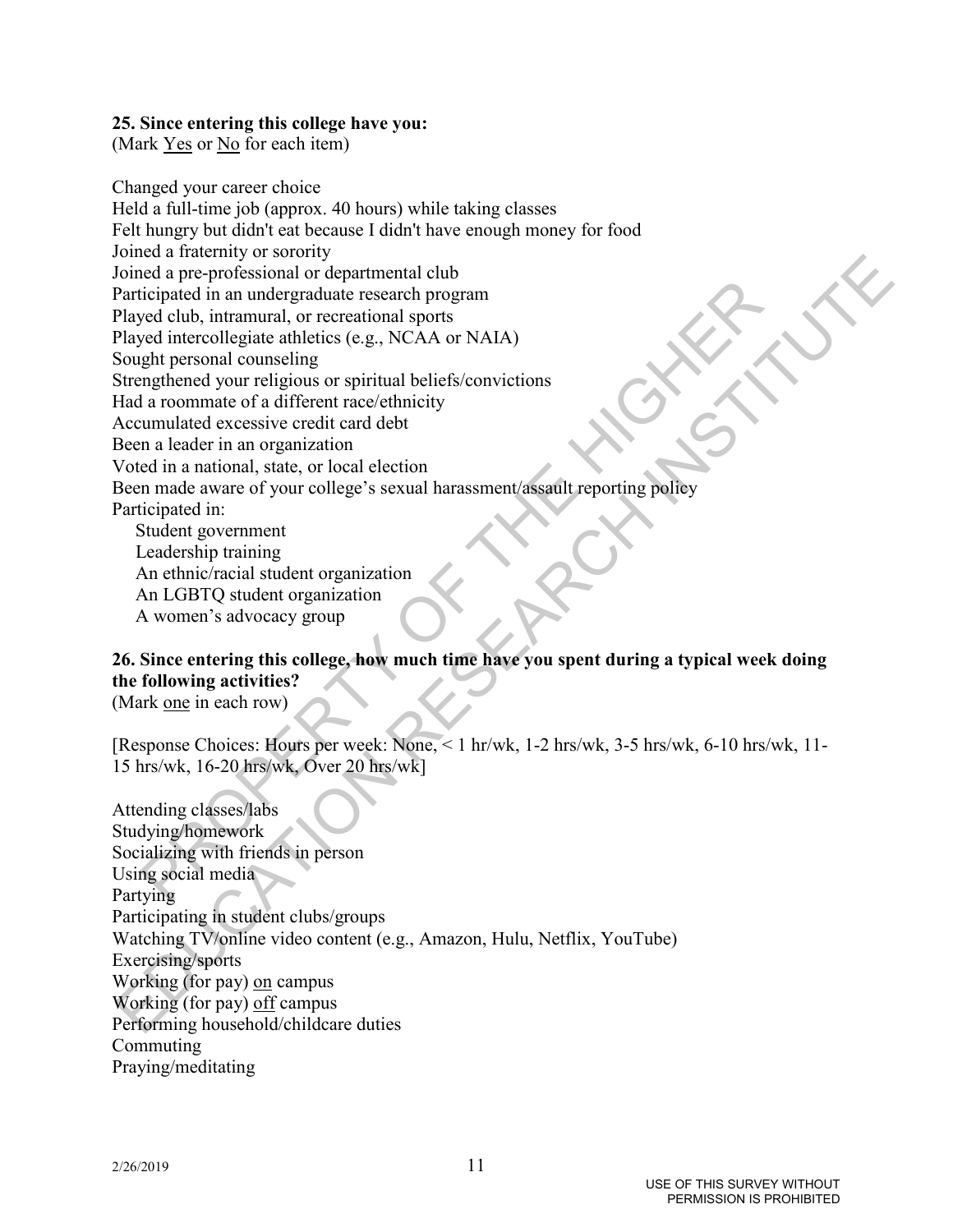# **25. Since entering this college have you:**

(Mark Yes or No for each item)

Social mediantal control and the members of the stress of the street of the matter of the members of equal intercollegiate antietics (e.g., NCAA or NAIA) ght personal counseling<br>the distribution of the members of a differe Monta a nanelmo va sonon,<br>coincid a pro-professional or departmental elob<br>Played intercelle parameters are alternation in the maximum and a particular except in properties and<br>the played intercelle parameteristic fig. PCAA Changed your career choice Held a full-time job (approx. 40 hours) while taking classes Felt hungry but didn't eat because I didn't have enough money for food Joined a fraternity or sorority Joined a pre-professional or departmental club Participated in an undergraduate research program Played club, intramural, or recreational sports Played intercollegiate athletics (e.g., NCAA or NAIA) Sought personal counseling Strengthened your religious or spiritual beliefs/convictions Had a roommate of a different race/ethnicity Accumulated excessive credit card debt Been a leader in an organization Voted in a national, state, or local election Been made aware of your college's sexual harassment/assault reporting policy Participated in: Student government

 Leadership training An ethnic/racial student organization An LGBTQ student organization A women's advocacy group

# **26. Since entering this college, how much time have you spent during a typical week doing the following activities?**

(Mark one in each row)

[Response Choices: Hours per week: None, < 1 hr/wk, 1-2 hrs/wk, 3-5 hrs/wk, 6-10 hrs/wk, 11- 15 hrs/wk, 16-20 hrs/wk, Over 20 hrs/wk]

Attending classes/labs Studying/homework Socializing with friends in person Using social media Partying Participating in student clubs/groups Watching TV/online video content (e.g., Amazon, Hulu, Netflix, YouTube) Exercising/sports Working (for pay) on campus Working (for pay) off campus Performing household/childcare duties Commuting Praying/meditating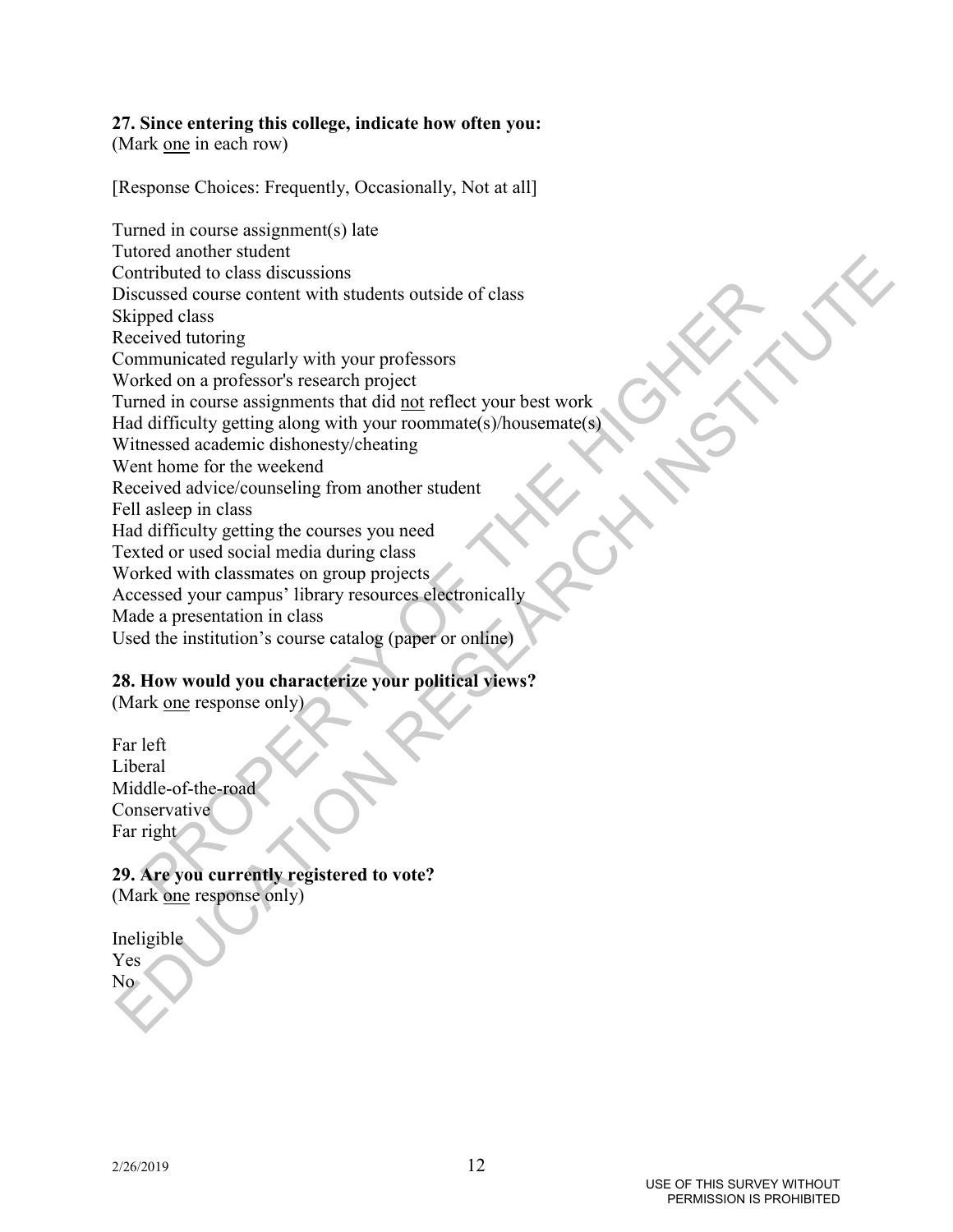# **27. Since entering this college, indicate how often you:**

(Mark one in each row)

[Response Choices: Frequently, Occasionally, Not at all]

entrance of the control of the control of the control of the properties and control of the control of the control of the control of the control of the control of the control of the control of the control of the control of The contract matter of the state of the state of the state of the state of the Skipped closes discussions Skipped class<br>Skipped class<br>Skipped class<br>Skipped class<br>Skipped class<br>Communicated regularly with your professors fo Turned in course assignment(s) late Tutored another student Contributed to class discussions Discussed course content with students outside of class Skipped class Received tutoring Communicated regularly with your professors Worked on a professor's research project Turned in course assignments that did not reflect your best work Had difficulty getting along with your roommate(s)/housemate(s) Witnessed academic dishonesty/cheating Went home for the weekend Received advice/counseling from another student Fell asleep in class Had difficulty getting the courses you need Texted or used social media during class Worked with classmates on group projects Accessed your campus' library resources electronically Made a presentation in class Used the institution's course catalog (paper or online)

# **28. How would you characterize your political views?**

(Mark one response only)

Far left Liberal Middle-of-the-road Conservative Far right

# **29. Are you currently registered to vote?** (Mark one response only)

Ineligible Yes No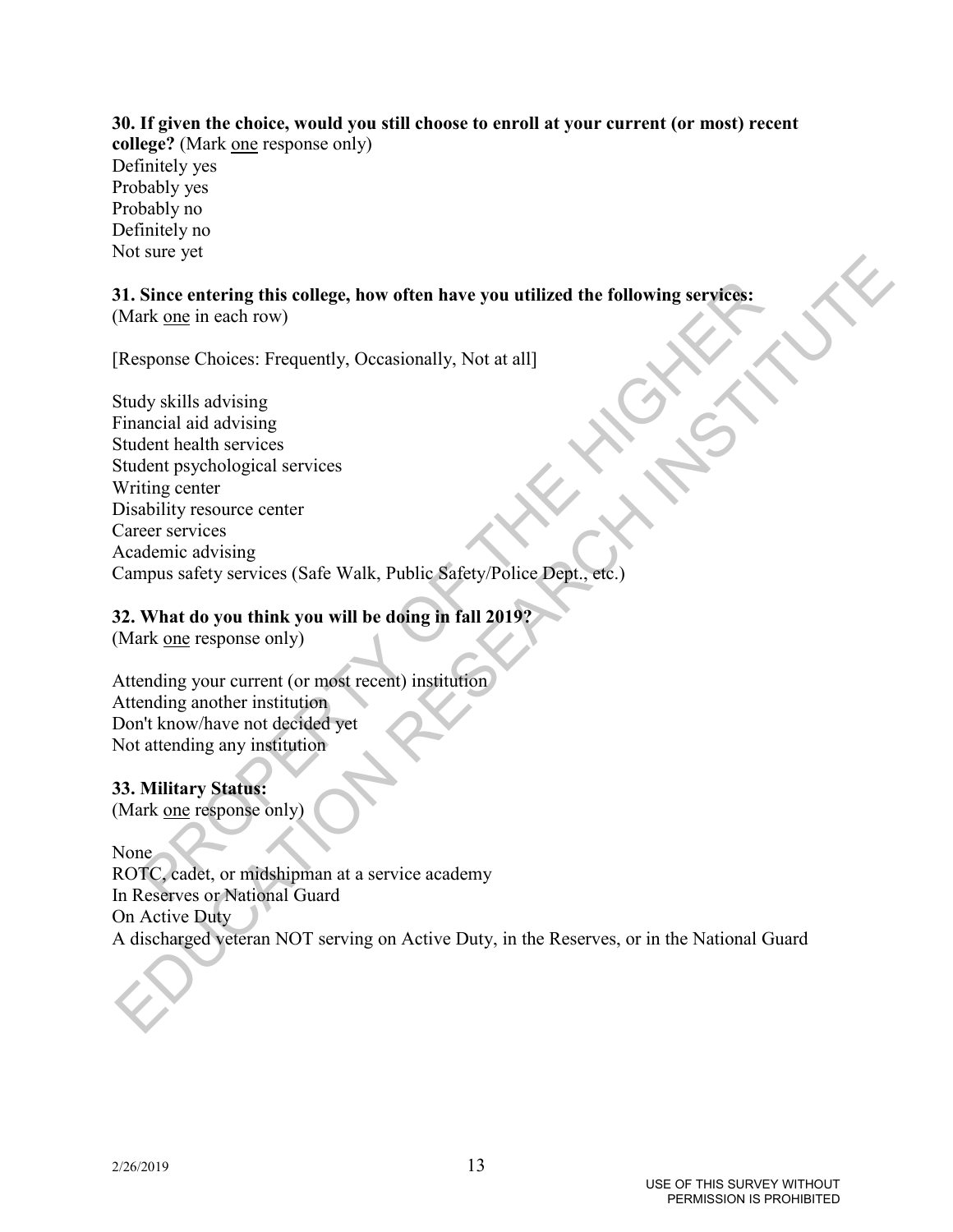# **30. If given the choice, would you still choose to enroll at your current (or most) recent college?** (Mark <u>one</u> response only) Definitely yes Probably yes Probably no Definitely no Not sure yet

### **31. Since entering this college, how often have you utilized the following services:** (Mark one in each row)

[Response Choices: Frequently, Occasionally, Not at all]

Since entering this college, how often have you utilized the following services:<br>tk one in each row)<br>sponse Choices: Frequently, Oceasionally, Not at all]<br>dy skills advising<br>the distring center is equivalent in the service The State entering this college, how often have you utilized the following services:<br>
2H. Since entering this college, how often have you utilized the following services:<br>
Response Choices: Frequently, Occasionally, Not at Study skills advising Financial aid advising Student health services Student psychological services Writing center Disability resource center Career services Academic advising Campus safety services (Safe Walk, Public Safety/Police Dept., etc.)

# **32. What do you think you will be doing in fall 2019?**

(Mark <u>one</u> response only)

Attending your current (or most recent) institution Attending another institution Don't know/have not decided yet Not attending any institution

# **33. Military Status:**

(Mark one response only)

None

ROTC, cadet, or midshipman at a service academy In Reserves or National Guard On Active Duty A discharged veteran NOT serving on Active Duty, in the Reserves, or in the National Guard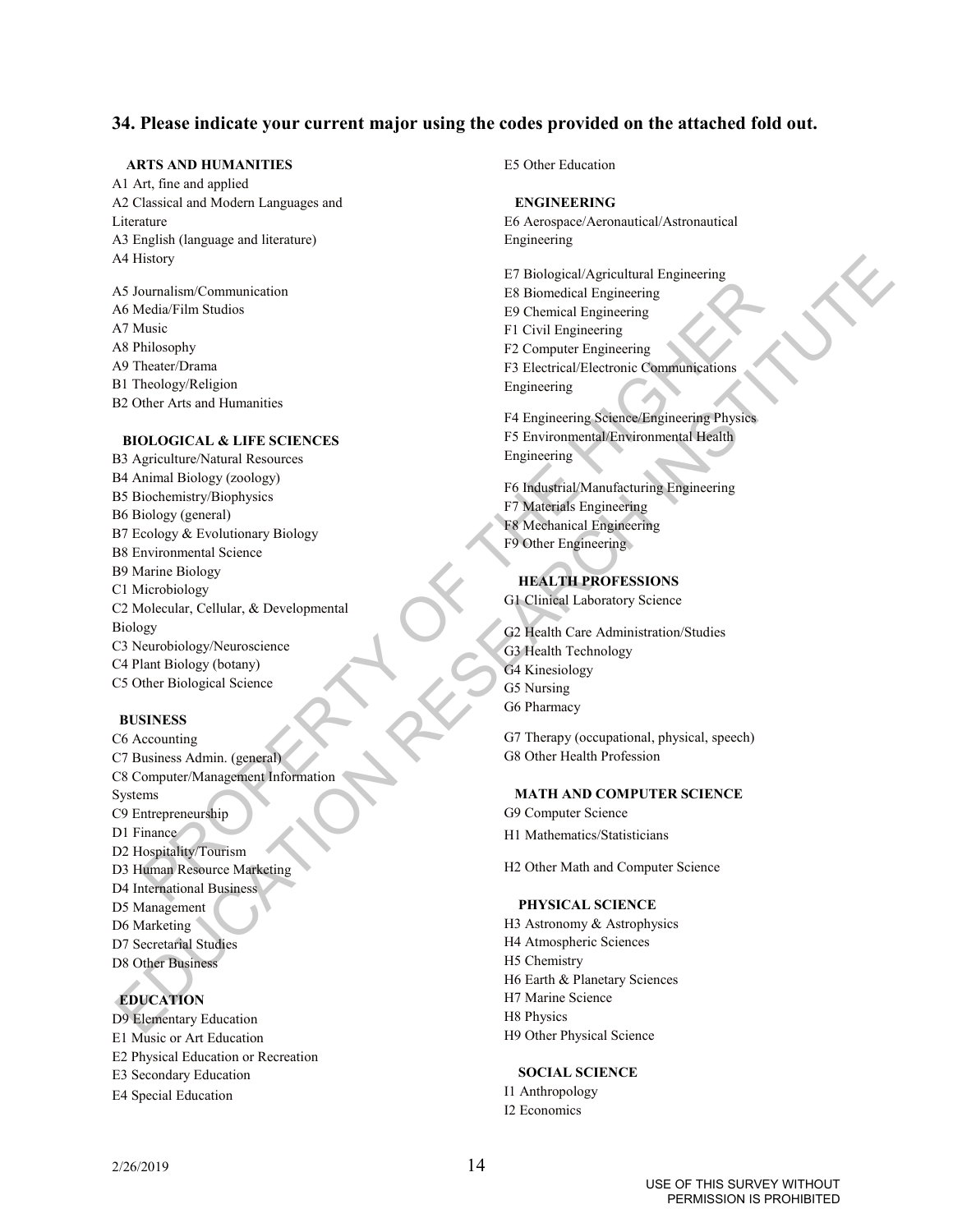### **34. Please indicate your current major using the codes provided on the attached fold out.**

### **ARTS AND HUMANITIES**

A1 Art, fine and applied A2 Classical and Modern Languages and Literature A3 English (language and literature) A4 History

A5 Journalism/Communication A6 Media/Film Studios A7 Music A8 Philosophy A9 Theater/Drama B1 Theology/Religion B2 Other Arts and Humanities

### **BIOLOGICAL & LIFE SCIENCES**

Experimentalism Communication<br>
1 B Boncolcki Engineering<br>
Into Hotel Christian Engineering<br>
Into Hotel Distribution<br>
Interference To Christian Engineering<br>
Next Distributions<br>
To Civil Engineering Scheen Experimentalisms<br> Al History<br>
AN Montal School Contains and the Computer Stationary of the Mathematical School Contains and the Mathematical School Contains and the Mathematical School Contains and the Computer School Contains are also the B3 Agriculture/Natural Resources B4 Animal Biology (zoology) B5 Biochemistry/Biophysics B6 Biology (general) B7 Ecology & Evolutionary Biology B8 Environmental Science B9 Marine Biology C1 Microbiology C2 Molecular, Cellular, & Developmental Biology C3 Neurobiology/Neuroscience C4 Plant Biology (botany) C5 Other Biological Science

#### **BUSINESS**

C6 Accounting C7 Business Admin. (general) C8 Computer/Management Information Systems C9 Entrepreneurship D1 Finance D2 Hospitality/Tourism D3 Human Resource Marketing D4 International Business D5 Management D6 Marketing D7 Secretarial Studies D8 Other Business

# **EDUCATION**

D9 Elementary Education E1 Music or Art Education E2 Physical Education or Recreation E3 Secondary Education E4 Special Education

E5 Other Education

#### **ENGINEERING**

E6 Aerospace/Aeronautical/Astronautical Engineering

E7 Biological/Agricultural Engineering E8 Biomedical Engineering E9 Chemical Engineering F1 Civil Engineering F2 Computer Engineering F3 Electrical/Electronic Communications Engineering

F4 Engineering Science/Engineering Physics F5 Environmental/Environmental Health Engineering

F6 Industrial/Manufacturing Engineering F7 Materials Engineering F8 Mechanical Engineering F9 Other Engineering

### **HEALTH PROFESSIONS**

G1 Clinical Laboratory Science

G2 Health Care Administration/Studies G3 Health Technology G4 Kinesiology G5 Nursing G6 Pharmacy

G7 Therapy (occupational, physical, speech) G8 Other Health Profession

#### **MATH AND COMPUTER SCIENCE**

G9 Computer Science H1 Mathematics/Statisticians

H2 Other Math and Computer Science

#### **PHYSICAL SCIENCE**

H3 Astronomy & Astrophysics H4 Atmospheric Sciences H5 Chemistry H6 Earth & Planetary Sciences H7 Marine Science H8 Physics H9 Other Physical Science

### **SOCIAL SCIENCE**

I1 Anthropology I2 Economics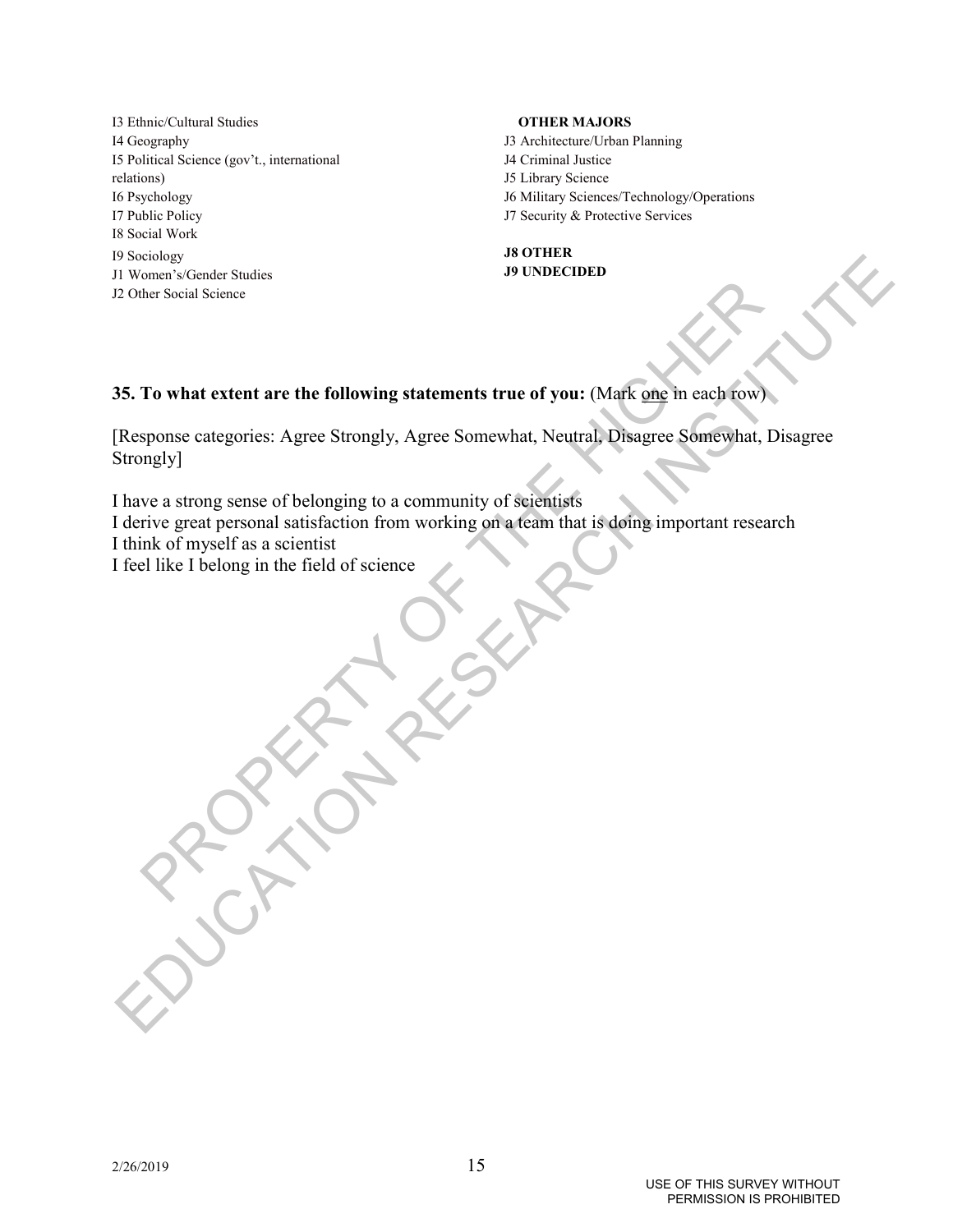I3 Ethnic/Cultural Studies I4 Geography I5 Political Science (gov't., international relations) I6 Psychology I7 Public Policy I8 Social Work I9 Sociology J1 Women's/Gender Studies J2 Other Social Science

### **OTHER MAJORS**

- J3 Architecture/Urban Planning
- J4 Criminal Justice
- J5 Library Science
- J6 Military Sciences/Technology/Operations
- J7 Security & Protective Services

### **J8 OTHER J9 UNDECIDED**

**35. To what extent are the following statements true of you:** (Mark one in each row)

ones a social Science<br>
To what extent are the following statements true of you: (Mark one in each fow)<br>
sponse categories: Agree Strongly, Agree Somewhat, Neutral, Disagree Somewhat, Di<br>
tive great personal satisfaction fr So Society<br>
Society Screen a Greater Snatister<br>
20 Other Social Science<br>
25. To what extent are the following statements true of you: (Mapk ang in each form)<br>
Hesponse categories. Agree Sinongly, Agree Somewhat, Neutral, D [Response categories: Agree Strongly, Agree Somewhat, Neutral, Disagree Somewhat, Disagree Strongly]

I have a strong sense of belonging to a community of scientists

I derive great personal satisfaction from working on a team that is doing important research

I think of myself as a scientist

I feel like I belong in the field of science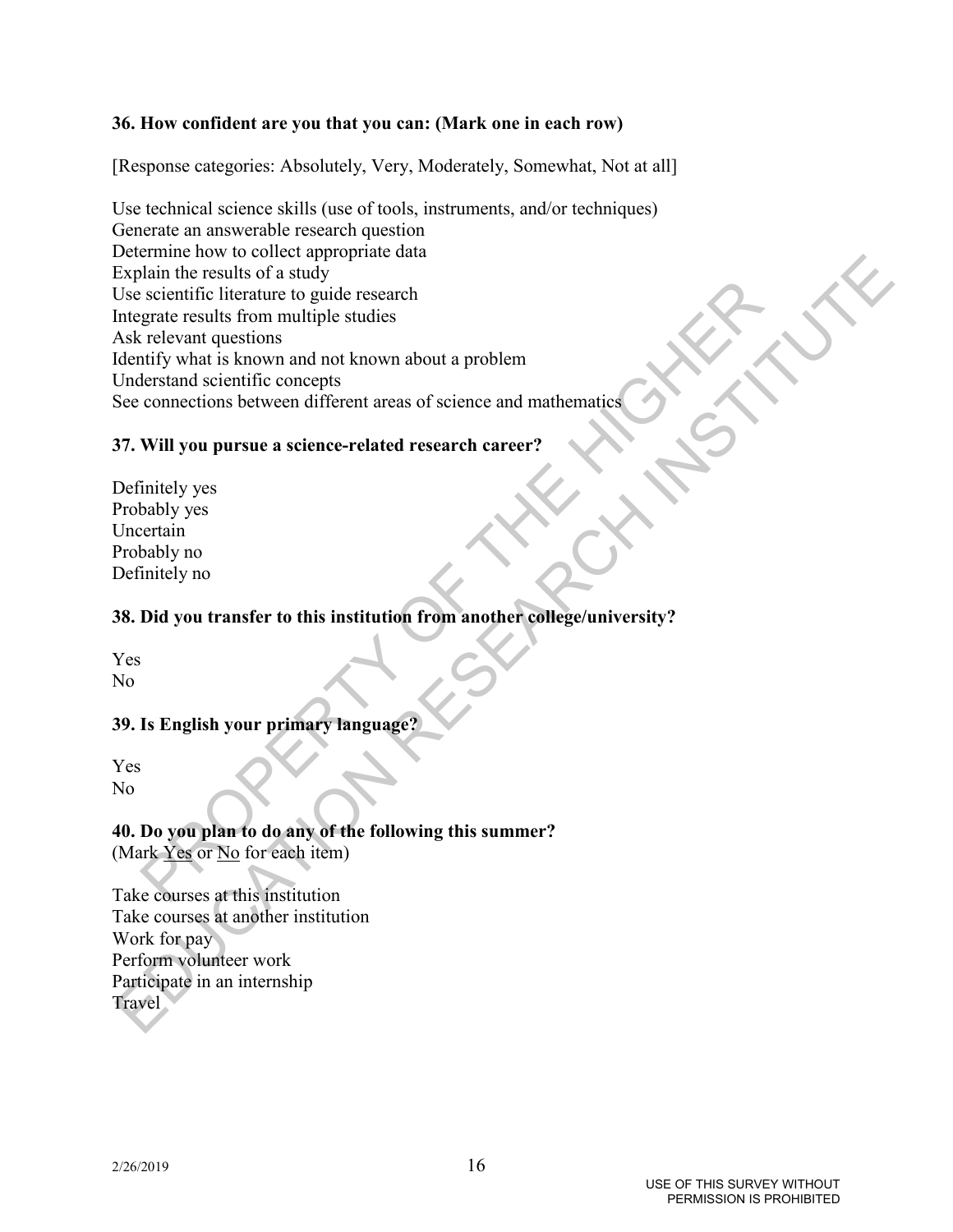# **36. How confident are you that you can: (Mark one in each row)**

[Response categories: Absolutely, Very, Moderately, Somewhat, Not at all]

Scientific literature to guide research<br>
relevant questions<br>
relevant questions<br>
relevant questions<br>
relevant questions<br>
relevant questions<br>
connections between different areas of science and mathematics<br>
connections betwe Excluents who we wonce a group of the following that<br>explain the results of a study<br>the secientific literature to guide research<br>Information scaling for an and not known about a problem<br>Concern questions between different Use technical science skills (use of tools, instruments, and/or techniques) Generate an answerable research question Determine how to collect appropriate data Explain the results of a study Use scientific literature to guide research Integrate results from multiple studies Ask relevant questions Identify what is known and not known about a problem Understand scientific concepts See connections between different areas of science and mathematics

# **37. Will you pursue a science-related research career?**

Definitely yes Probably yes Uncertain Probably no Definitely no

# **38. Did you transfer to this institution from another college/university?**

Yes No

# **39. Is English your primary language?**

Yes No

# **40. Do you plan to do any of the following this summer?**

(Mark Yes or No for each item)

Take courses at this institution Take courses at another institution Work for pay Perform volunteer work Participate in an internship Travel